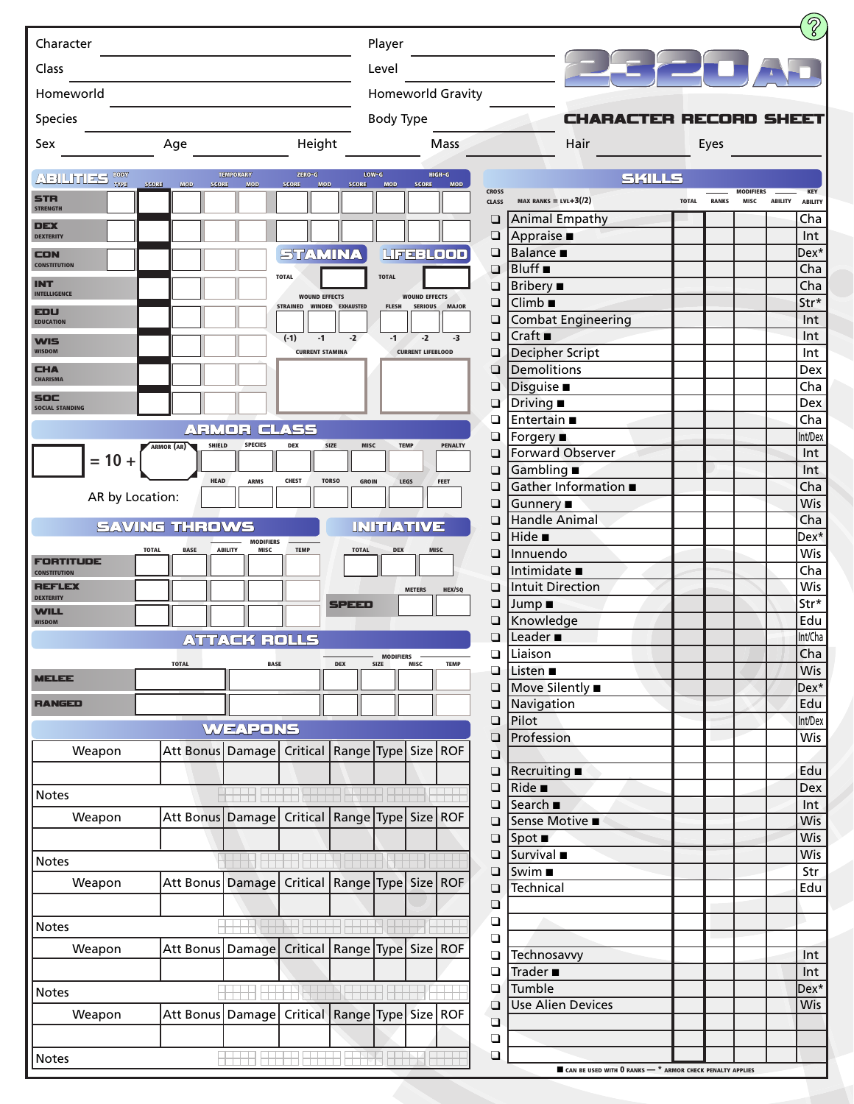| Character                      |                                                         |                               |                            |                              | Player                   |                          |                          |                              |                                                      |                               |              |              |                          |                |                       |
|--------------------------------|---------------------------------------------------------|-------------------------------|----------------------------|------------------------------|--------------------------|--------------------------|--------------------------|------------------------------|------------------------------------------------------|-------------------------------|--------------|--------------|--------------------------|----------------|-----------------------|
| Class                          |                                                         |                               |                            |                              | Level                    |                          |                          |                              |                                                      |                               |              |              |                          |                |                       |
| Homeworld                      |                                                         |                               |                            |                              |                          |                          | <b>Homeworld Gravity</b> |                              |                                                      |                               |              |              |                          |                |                       |
| Species                        |                                                         |                               |                            |                              | <b>Body Type</b>         |                          |                          |                              |                                                      | <b>CHARACTER RECORD SHEET</b> |              |              |                          |                |                       |
| Sex                            | Age                                                     |                               | Height                     |                              |                          |                          | <b>Mass</b>              |                              |                                                      | Hair                          |              | Eyes         |                          |                |                       |
| ABILITIES SON                  |                                                         | <b>TEMPORARY</b>              | ZERO-G                     |                              | $LOW-G$                  |                          | HIGH-G                   |                              |                                                      | <b>SKILLS</b>                 |              |              |                          |                |                       |
| <b>TYPE</b><br>STR             | SCORE<br>MOD SCORE                                      | <b>MOD</b>                    | <b>SCORE</b><br><b>MOD</b> | <b>SCORE</b>                 | MOD                      | <b>SCORE</b>             | <b>MOD</b>               | <b>CROSS</b><br><b>CLASS</b> | MAX RANKS = $LVL+3(2)$                               |                               | <b>TOTAL</b> | <b>RANKS</b> | <b>MODIFIERS</b><br>MISC | <b>ABILITY</b> | <b>KEY</b>            |
| <b>STRENGTH</b>                |                                                         |                               |                            |                              |                          |                          |                          | ❏                            |                                                      | <b>Animal Empathy</b>         |              |              |                          |                | <b>ABILITY</b><br>Cha |
| <b>DEX</b><br><b>DEXTERITY</b> |                                                         |                               |                            |                              |                          |                          |                          | $\Box$                       | Appraise $\blacksquare$                              |                               |              |              |                          |                | Int                   |
| CON                            |                                                         |                               | <b>STAMINA</b>             |                              |                          |                          | LIFEBLOOD                | ❏                            | <b>Balance</b> ■                                     |                               |              |              |                          |                | 'Dex                  |
| <b>CONSTITUTION</b>            |                                                         |                               | <b>TOTAL</b>               |                              | <b>TOTAL</b>             |                          |                          | ❏                            | Bluff ■                                              |                               |              |              |                          |                | Cha                   |
| INT<br><b>INTELLIGENCE</b>     |                                                         |                               | <b>WOUND EFFECTS</b>       |                              |                          | <b>WOUND EFFECTS</b>     |                          | $\Box$                       | Bribery $\blacksquare$                               |                               |              |              |                          |                | Cha                   |
| EDU                            |                                                         |                               | STRAINED WINDED EXHAUSTED  |                              | <b>FLESH</b>             |                          | SERIOUS MAJOR            | ❏                            | $Climb$ $\blacksquare$                               |                               |              |              |                          |                | Str*                  |
| <b>EDUCATION</b>               |                                                         |                               | $(-1)$<br>$-1$             | $-2$                         | $-1$                     | $-2$                     | $-3$                     | $\Box$<br>$\Box$             | Craft                                                | <b>Combat Engineering</b>     |              |              |                          |                | Int<br>Int            |
| <b>WIS</b><br><b>WISDOM</b>    |                                                         |                               | <b>CURRENT STAMINA</b>     |                              |                          | <b>CURRENT LIFEBLOOD</b> |                          | ❏                            |                                                      | Decipher Script               |              |              |                          |                | Int                   |
| <b>CHA</b>                     |                                                         |                               |                            |                              |                          |                          |                          | ❏                            | <b>Demolitions</b>                                   |                               |              |              |                          |                | Dex                   |
| <b>CHARISMA</b>                |                                                         |                               |                            |                              |                          |                          |                          | ❏                            | Disguise <b>B</b>                                    |                               |              |              |                          |                | Cha                   |
| SOC<br><b>SOCIAL STANDING</b>  |                                                         |                               |                            |                              |                          |                          |                          | ❏                            | Driving $\blacksquare$                               |                               |              |              |                          |                | Dex                   |
|                                |                                                         | <b>ARMOR CLASS</b>            |                            |                              |                          |                          |                          | ❏                            | Entertain ■                                          |                               |              |              |                          |                | Cha                   |
|                                | <b>SHIELD</b><br>ARMOR (AR)                             | <b>SPECIES</b>                | <b>DEX</b>                 | <b>SIZE</b><br>MISC          |                          | <b>TEMP</b>              | <b>PENALTY</b>           | $\Box$<br>❏                  | Forgery ■                                            | <b>Forward Observer</b>       |              |              |                          |                | Int/Dex<br>Int        |
| $= 10 +$                       |                                                         |                               |                            |                              |                          |                          |                          | $\Box$                       | Gambling $\blacksquare$                              |                               |              |              |                          |                | Int                   |
|                                | <b>HEAD</b>                                             | <b>ARMS</b>                   | <b>CHEST</b>               | <b>TORSO</b><br><b>GROIN</b> |                          | LEGS                     | FEET                     | ❏                            |                                                      | Gather Information ■          |              |              |                          |                | Cha                   |
| AR by Location:                |                                                         |                               |                            |                              |                          |                          |                          | ❏                            | Gunnery ■                                            |                               |              |              |                          |                | Wis                   |
|                                | <b>SAVING THROWS</b>                                    |                               |                            |                              | INITIATIVE               |                          |                          | ❏                            | <b>Handle Animal</b>                                 |                               |              |              |                          |                | Cha                   |
|                                |                                                         | <b>MODIFIERS</b>              |                            |                              |                          |                          |                          | $\Box$                       | Hide $\blacksquare$                                  |                               |              |              |                          |                | 'Dex                  |
| ORTITUDE                       | <b>TOTAL</b><br><b>BASE</b>                             | <b>ABILITY</b><br><b>MISC</b> | <b>TEMP</b>                | <b>TOTAL</b>                 | <b>DEX</b>               |                          | <b>MISC</b>              | ❏                            | Innuendo                                             |                               |              |              |                          |                | Wis                   |
| <b>CONSTITUTION</b><br>337LX   |                                                         |                               |                            |                              |                          |                          |                          | ❏<br>❏                       | Intimidate $\blacksquare$<br><b>Intuit Direction</b> |                               |              |              |                          |                | Cha<br>Wis            |
| <b>DEXTERITY</b>               |                                                         |                               |                            | <b>SPEED</b>                 |                          | <b>METERS</b>            | HEX/SQ                   | ❏                            | Jump ∎                                               |                               |              |              |                          |                | Str*                  |
| <b>WILL</b><br><b>WISDOM</b>   |                                                         |                               |                            |                              |                          |                          |                          | $\Box$                       | Knowledge                                            |                               |              |              |                          |                | Edu                   |
|                                |                                                         | <b>ATTACK ROLLS</b>           |                            |                              |                          |                          |                          | ⊔                            | Leader $\blacksquare$                                |                               |              |              |                          |                | Int/Cha               |
|                                | <b>TOTAL</b>                                            | <b>BASE</b>                   |                            | <b>DEX</b>                   | <b>MODIFIERS</b><br>SIZE | MISC                     | <b>TEMP</b>              | ❏                            | Liaison                                              |                               |              |              |                          |                | Cha                   |
| <b>MELEE</b>                   |                                                         |                               |                            |                              |                          |                          |                          | $\Box$                       | Listen ■                                             |                               |              |              |                          |                | Wis                   |
| <b>RANGED</b>                  |                                                         |                               |                            |                              |                          |                          |                          | $\Box$                       | Move Silently ■<br>Navigation                        |                               |              |              |                          |                | Dex*<br>Edu           |
|                                |                                                         |                               |                            |                              |                          |                          |                          | $\Box$<br>$\Box$             | Pilot                                                |                               |              |              |                          |                | Int/Dex               |
|                                |                                                         | <b>WEAPONS</b>                |                            |                              |                          |                          |                          | $\Box$                       | Profession                                           |                               |              |              |                          |                | Wis                   |
| Weapon                         | Att Bonus Damage Critical Range Type Size ROF           |                               |                            |                              |                          |                          |                          | $\Box$                       |                                                      |                               |              |              |                          |                |                       |
|                                |                                                         |                               |                            |                              |                          |                          |                          | ❏                            | <b>Recruiting</b> ■                                  |                               |              |              |                          |                | Edu                   |
| Notes                          |                                                         |                               |                            |                              |                          |                          |                          | $\Box$                       | $Ride$ $\blacksquare$                                |                               |              |              |                          |                | Dex                   |
| Weapon                         | Att Bonus Damage   Critical   Range   Type   Size   ROF |                               |                            |                              |                          |                          |                          | $\Box$                       | Search ■                                             |                               |              |              |                          |                | Int<br>Wis            |
|                                |                                                         |                               |                            |                              |                          |                          |                          | $\Box$<br>❏                  | Sense Motive ■<br>$Spot \blacksquare$                |                               |              |              |                          |                | Wis                   |
|                                |                                                         |                               |                            |                              |                          |                          |                          | $\Box$                       | Survival $\blacksquare$                              |                               |              |              |                          |                | Wis                   |
| <b>Notes</b>                   |                                                         |                               |                            |                              |                          |                          |                          | $\Box$                       | Swim ■                                               |                               |              |              |                          |                | Str                   |
| Weapon                         | Att Bonus Damage Critical Range Type Size ROF           |                               |                            |                              |                          |                          |                          | $\Box$                       | Technical                                            |                               |              |              |                          |                | Edu                   |
|                                |                                                         |                               |                            |                              |                          |                          |                          | $\Box$                       |                                                      |                               |              |              |                          |                |                       |
| Notes                          |                                                         |                               |                            |                              |                          |                          |                          | $\Box$                       |                                                      |                               |              |              |                          |                |                       |
| Weapon                         | Att Bonus Damage Critical Range Type Size ROF           |                               |                            |                              |                          |                          |                          | $\Box$                       |                                                      |                               |              |              |                          |                |                       |
|                                |                                                         |                               |                            |                              |                          |                          |                          | ❏<br>$\Box$                  | Technosavvy<br>Trader $\blacksquare$                 |                               |              |              |                          |                | .Int<br>Int           |
|                                |                                                         |                               |                            |                              |                          |                          |                          | ❏                            | Tumble                                               |                               |              |              |                          |                | Dex*                  |
| Notes                          |                                                         |                               |                            |                              |                          |                          |                          | $\Box$                       |                                                      | <b>Use Alien Devices</b>      |              |              |                          |                | Wis                   |
| Weapon                         | Att Bonus Damage Critical Range Type Size ROF           |                               |                            |                              |                          |                          |                          | $\Box$                       |                                                      |                               |              |              |                          |                |                       |
|                                |                                                         |                               |                            |                              |                          |                          |                          | $\Box$                       |                                                      |                               |              |              |                          |                |                       |
|                                |                                                         | HHHH HHHHH HHM HHM HHH        |                            |                              |                          |                          |                          | $\Box$                       |                                                      |                               |              |              |                          |                |                       |